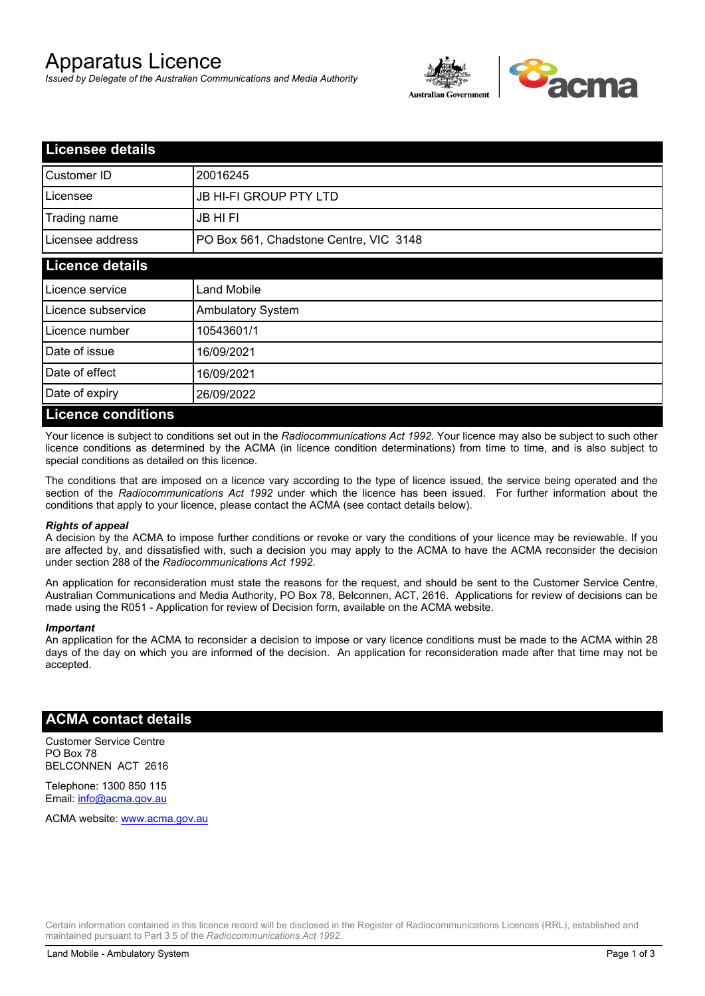# Apparatus Licence

*Issued by Delegate of the Australian Communications and Media Authority*



| <b>Licensee details</b>   |                                        |  |
|---------------------------|----------------------------------------|--|
| Customer ID               | 20016245                               |  |
| Licensee                  | <b>JB HI-FI GROUP PTY LTD</b>          |  |
| Trading name              | <b>JB HIFI</b>                         |  |
| Licensee address          | PO Box 561, Chadstone Centre, VIC 3148 |  |
| <b>Licence details</b>    |                                        |  |
| Licence service           | <b>Land Mobile</b>                     |  |
| Licence subservice        | <b>Ambulatory System</b>               |  |
| Licence number            | 10543601/1                             |  |
| Date of issue             | 16/09/2021                             |  |
| Date of effect            | 16/09/2021                             |  |
| Date of expiry            | 26/09/2022                             |  |
| <b>Licence conditions</b> |                                        |  |

Your licence is subject to conditions set out in the *Radiocommunications Act 1992*. Your licence may also be subject to such other licence conditions as determined by the ACMA (in licence condition determinations) from time to time, and is also subject to special conditions as detailed on this licence.

The conditions that are imposed on a licence vary according to the type of licence issued, the service being operated and the section of the *Radiocommunications Act 1992* under which the licence has been issued. For further information about the conditions that apply to your licence, please contact the ACMA (see contact details below).

#### *Rights of appeal*

A decision by the ACMA to impose further conditions or revoke or vary the conditions of your licence may be reviewable. If you are affected by, and dissatisfied with, such a decision you may apply to the ACMA to have the ACMA reconsider the decision under section 288 of the *Radiocommunications Act 1992*.

An application for reconsideration must state the reasons for the request, and should be sent to the Customer Service Centre, Australian Communications and Media Authority, PO Box 78, Belconnen, ACT, 2616. Applications for review of decisions can be made using the R051 - Application for review of Decision form, available on the ACMA website.

#### *Important*

An application for the ACMA to reconsider a decision to impose or vary licence conditions must be made to the ACMA within 28 days of the day on which you are informed of the decision. An application for reconsideration made after that time may not be accepted.

### **ACMA contact details**

Customer Service Centre PO Box 78 BELCONNEN ACT 2616

Telephone: 1300 850 115 Email: info@acma.gov.au

ACMA website: www.acma.gov.au

Certain information contained in this licence record will be disclosed in the Register of Radiocommunications Licences (RRL), established and maintained pursuant to Part 3.5 of the *Radiocommunications Act 1992.*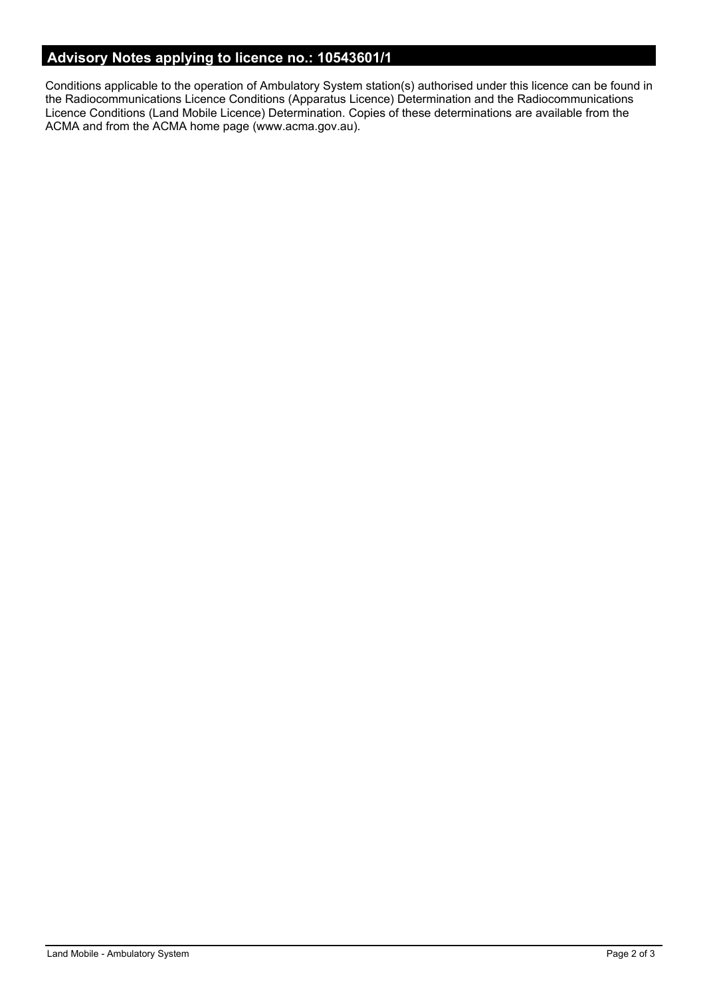# **Advisory Notes applying to licence no.: 10543601/1**

Conditions applicable to the operation of Ambulatory System station(s) authorised under this licence can be found in the Radiocommunications Licence Conditions (Apparatus Licence) Determination and the Radiocommunications Licence Conditions (Land Mobile Licence) Determination. Copies of these determinations are available from the ACMA and from the ACMA home page (www.acma.gov.au).